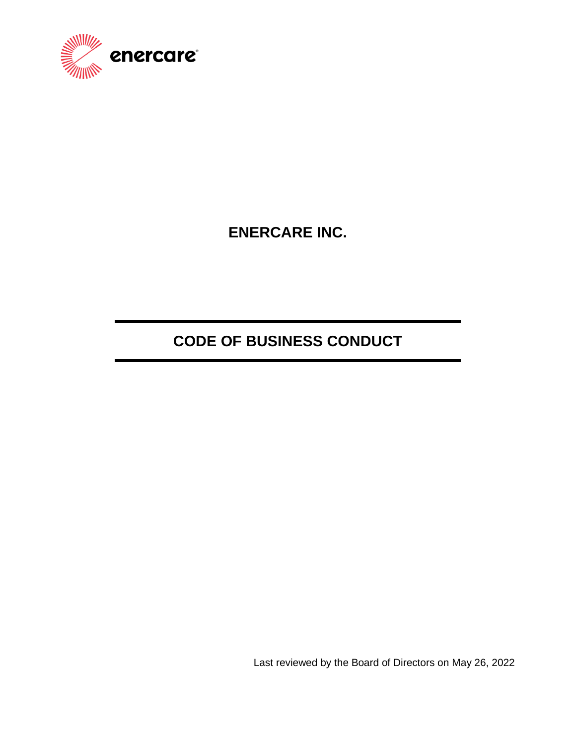

**ENERCARE INC.**

# **CODE OF BUSINESS CONDUCT**

Last reviewed by the Board of Directors on May 26, 2022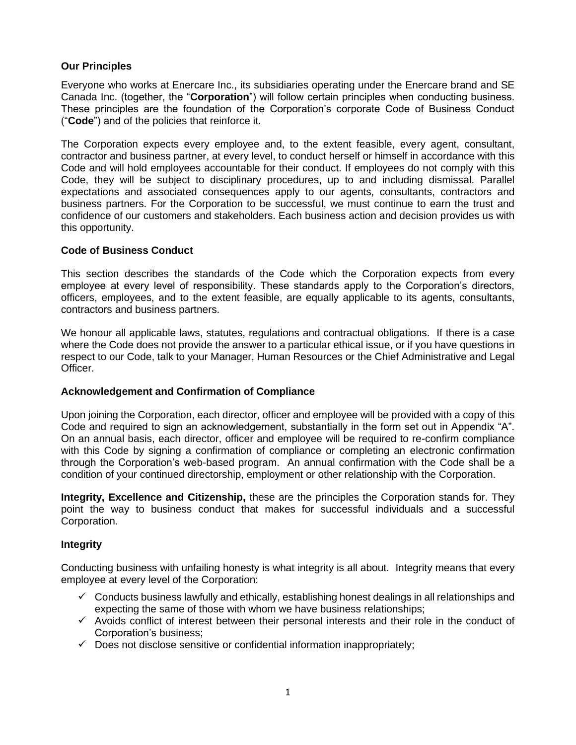# **Our Principles**

Everyone who works at Enercare Inc., its subsidiaries operating under the Enercare brand and SE Canada Inc. (together, the "**Corporation**") will follow certain principles when conducting business. These principles are the foundation of the Corporation's corporate Code of Business Conduct ("**Code**") and of the policies that reinforce it.

The Corporation expects every employee and, to the extent feasible, every agent, consultant, contractor and business partner, at every level, to conduct herself or himself in accordance with this Code and will hold employees accountable for their conduct. If employees do not comply with this Code, they will be subject to disciplinary procedures, up to and including dismissal. Parallel expectations and associated consequences apply to our agents, consultants, contractors and business partners. For the Corporation to be successful, we must continue to earn the trust and confidence of our customers and stakeholders. Each business action and decision provides us with this opportunity.

# **Code of Business Conduct**

This section describes the standards of the Code which the Corporation expects from every employee at every level of responsibility. These standards apply to the Corporation's directors, officers, employees, and to the extent feasible, are equally applicable to its agents, consultants, contractors and business partners.

We honour all applicable laws, statutes, regulations and contractual obligations. If there is a case where the Code does not provide the answer to a particular ethical issue, or if you have questions in respect to our Code, talk to your Manager, Human Resources or the Chief Administrative and Legal Officer.

# **Acknowledgement and Confirmation of Compliance**

Upon joining the Corporation, each director, officer and employee will be provided with a copy of this Code and required to sign an acknowledgement, substantially in the form set out in Appendix "A". On an annual basis, each director, officer and employee will be required to re-confirm compliance with this Code by signing a confirmation of compliance or completing an electronic confirmation through the Corporation's web-based program. An annual confirmation with the Code shall be a condition of your continued directorship, employment or other relationship with the Corporation.

**Integrity, Excellence and Citizenship,** these are the principles the Corporation stands for. They point the way to business conduct that makes for successful individuals and a successful Corporation.

# **Integrity**

Conducting business with unfailing honesty is what integrity is all about. Integrity means that every employee at every level of the Corporation:

- $\checkmark$  Conducts business lawfully and ethically, establishing honest dealings in all relationships and expecting the same of those with whom we have business relationships;
- ✓ Avoids conflict of interest between their personal interests and their role in the conduct of Corporation's business;
- $\checkmark$  Does not disclose sensitive or confidential information inappropriately;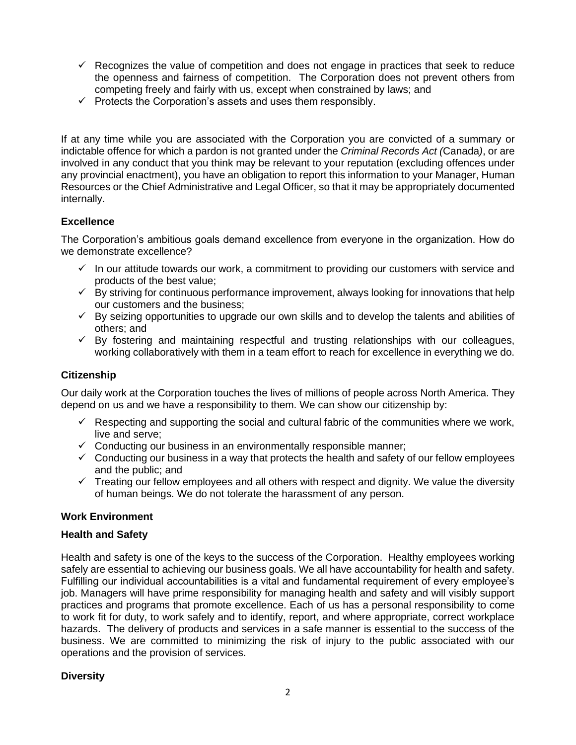- $\checkmark$  Recognizes the value of competition and does not engage in practices that seek to reduce the openness and fairness of competition. The Corporation does not prevent others from competing freely and fairly with us, except when constrained by laws; and
- $\checkmark$  Protects the Corporation's assets and uses them responsibly.

If at any time while you are associated with the Corporation you are convicted of a summary or indictable offence for which a pardon is not granted under the *Criminal Records Act (*Canada*)*, or are involved in any conduct that you think may be relevant to your reputation (excluding offences under any provincial enactment), you have an obligation to report this information to your Manager, Human Resources or the Chief Administrative and Legal Officer, so that it may be appropriately documented internally.

# **Excellence**

The Corporation's ambitious goals demand excellence from everyone in the organization. How do we demonstrate excellence?

- $\checkmark$  In our attitude towards our work, a commitment to providing our customers with service and products of the best value;
- $\checkmark$  By striving for continuous performance improvement, always looking for innovations that help our customers and the business;
- $\checkmark$  By seizing opportunities to upgrade our own skills and to develop the talents and abilities of others; and
- $\checkmark$  By fostering and maintaining respectful and trusting relationships with our colleagues, working collaboratively with them in a team effort to reach for excellence in everything we do.

# **Citizenship**

Our daily work at the Corporation touches the lives of millions of people across North America. They depend on us and we have a responsibility to them. We can show our citizenship by:

- $\checkmark$  Respecting and supporting the social and cultural fabric of the communities where we work, live and serve;
- $\checkmark$  Conducting our business in an environmentally responsible manner;
- $\checkmark$  Conducting our business in a way that protects the health and safety of our fellow employees and the public; and
- $\checkmark$  Treating our fellow employees and all others with respect and dignity. We value the diversity of human beings. We do not tolerate the harassment of any person.

# **Work Environment**

# **Health and Safety**

Health and safety is one of the keys to the success of the Corporation. Healthy employees working safely are essential to achieving our business goals. We all have accountability for health and safety. Fulfilling our individual accountabilities is a vital and fundamental requirement of every employee's job. Managers will have prime responsibility for managing health and safety and will visibly support practices and programs that promote excellence. Each of us has a personal responsibility to come to work fit for duty, to work safely and to identify, report, and where appropriate, correct workplace hazards. The delivery of products and services in a safe manner is essential to the success of the business. We are committed to minimizing the risk of injury to the public associated with our operations and the provision of services.

# **Diversity**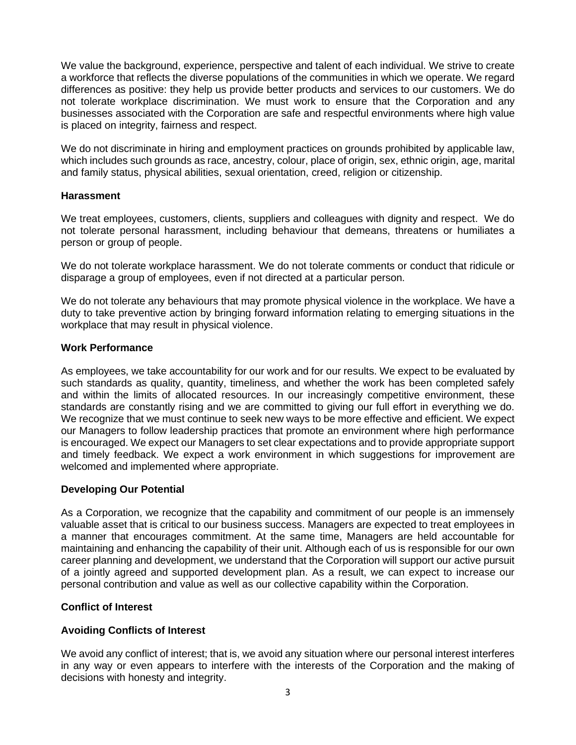We value the background, experience, perspective and talent of each individual. We strive to create a workforce that reflects the diverse populations of the communities in which we operate. We regard differences as positive: they help us provide better products and services to our customers. We do not tolerate workplace discrimination. We must work to ensure that the Corporation and any businesses associated with the Corporation are safe and respectful environments where high value is placed on integrity, fairness and respect.

We do not discriminate in hiring and employment practices on grounds prohibited by applicable law, which includes such grounds as race, ancestry, colour, place of origin, sex, ethnic origin, age, marital and family status, physical abilities, sexual orientation, creed, religion or citizenship.

#### **Harassment**

We treat employees, customers, clients, suppliers and colleagues with dignity and respect. We do not tolerate personal harassment, including behaviour that demeans, threatens or humiliates a person or group of people.

We do not tolerate workplace harassment. We do not tolerate comments or conduct that ridicule or disparage a group of employees, even if not directed at a particular person.

We do not tolerate any behaviours that may promote physical violence in the workplace. We have a duty to take preventive action by bringing forward information relating to emerging situations in the workplace that may result in physical violence.

# **Work Performance**

As employees, we take accountability for our work and for our results. We expect to be evaluated by such standards as quality, quantity, timeliness, and whether the work has been completed safely and within the limits of allocated resources. In our increasingly competitive environment, these standards are constantly rising and we are committed to giving our full effort in everything we do. We recognize that we must continue to seek new ways to be more effective and efficient. We expect our Managers to follow leadership practices that promote an environment where high performance is encouraged. We expect our Managers to set clear expectations and to provide appropriate support and timely feedback. We expect a work environment in which suggestions for improvement are welcomed and implemented where appropriate.

# **Developing Our Potential**

As a Corporation, we recognize that the capability and commitment of our people is an immensely valuable asset that is critical to our business success. Managers are expected to treat employees in a manner that encourages commitment. At the same time, Managers are held accountable for maintaining and enhancing the capability of their unit. Although each of us is responsible for our own career planning and development, we understand that the Corporation will support our active pursuit of a jointly agreed and supported development plan. As a result, we can expect to increase our personal contribution and value as well as our collective capability within the Corporation.

# **Conflict of Interest**

# **Avoiding Conflicts of Interest**

We avoid any conflict of interest; that is, we avoid any situation where our personal interest interferes in any way or even appears to interfere with the interests of the Corporation and the making of decisions with honesty and integrity.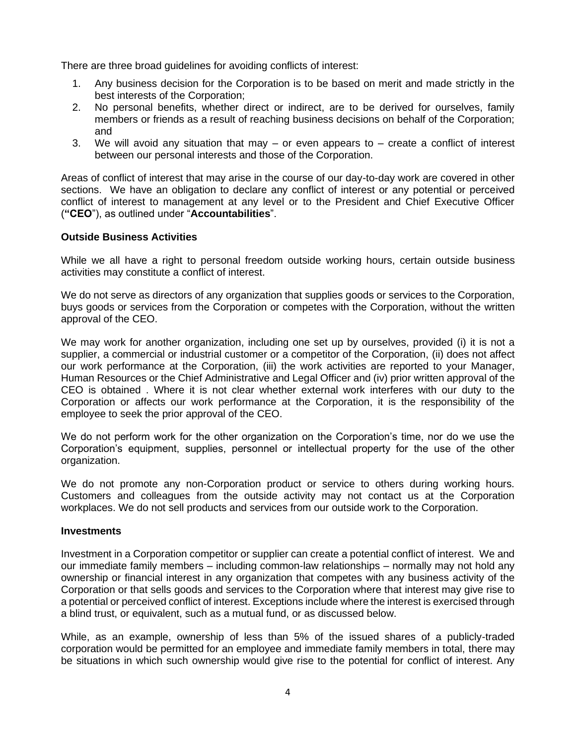There are three broad guidelines for avoiding conflicts of interest:

- 1. Any business decision for the Corporation is to be based on merit and made strictly in the best interests of the Corporation;
- 2. No personal benefits, whether direct or indirect, are to be derived for ourselves, family members or friends as a result of reaching business decisions on behalf of the Corporation; and
- 3. We will avoid any situation that may or even appears to create a conflict of interest between our personal interests and those of the Corporation.

Areas of conflict of interest that may arise in the course of our day-to-day work are covered in other sections. We have an obligation to declare any conflict of interest or any potential or perceived conflict of interest to management at any level or to the President and Chief Executive Officer (**"CEO**"), as outlined under "**Accountabilities**".

# **Outside Business Activities**

While we all have a right to personal freedom outside working hours, certain outside business activities may constitute a conflict of interest.

We do not serve as directors of any organization that supplies goods or services to the Corporation, buys goods or services from the Corporation or competes with the Corporation, without the written approval of the CEO.

We may work for another organization, including one set up by ourselves, provided (i) it is not a supplier, a commercial or industrial customer or a competitor of the Corporation, (ii) does not affect our work performance at the Corporation, (iii) the work activities are reported to your Manager, Human Resources or the Chief Administrative and Legal Officer and (iv) prior written approval of the CEO is obtained . Where it is not clear whether external work interferes with our duty to the Corporation or affects our work performance at the Corporation, it is the responsibility of the employee to seek the prior approval of the CEO.

We do not perform work for the other organization on the Corporation's time, nor do we use the Corporation's equipment, supplies, personnel or intellectual property for the use of the other organization.

We do not promote any non-Corporation product or service to others during working hours. Customers and colleagues from the outside activity may not contact us at the Corporation workplaces. We do not sell products and services from our outside work to the Corporation.

#### **Investments**

Investment in a Corporation competitor or supplier can create a potential conflict of interest. We and our immediate family members – including common-law relationships – normally may not hold any ownership or financial interest in any organization that competes with any business activity of the Corporation or that sells goods and services to the Corporation where that interest may give rise to a potential or perceived conflict of interest. Exceptions include where the interest is exercised through a blind trust, or equivalent, such as a mutual fund, or as discussed below.

While, as an example, ownership of less than 5% of the issued shares of a publicly-traded corporation would be permitted for an employee and immediate family members in total, there may be situations in which such ownership would give rise to the potential for conflict of interest. Any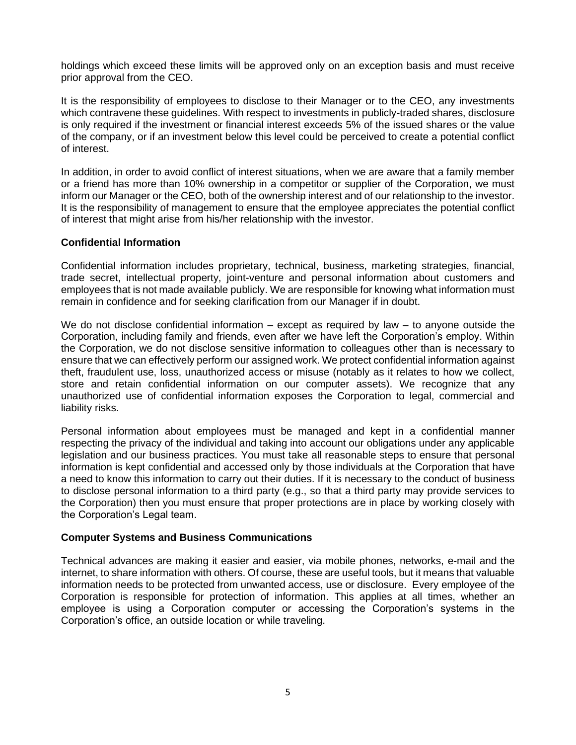holdings which exceed these limits will be approved only on an exception basis and must receive prior approval from the CEO.

It is the responsibility of employees to disclose to their Manager or to the CEO, any investments which contravene these guidelines. With respect to investments in publicly-traded shares, disclosure is only required if the investment or financial interest exceeds 5% of the issued shares or the value of the company, or if an investment below this level could be perceived to create a potential conflict of interest.

In addition, in order to avoid conflict of interest situations, when we are aware that a family member or a friend has more than 10% ownership in a competitor or supplier of the Corporation, we must inform our Manager or the CEO, both of the ownership interest and of our relationship to the investor. It is the responsibility of management to ensure that the employee appreciates the potential conflict of interest that might arise from his/her relationship with the investor.

# **Confidential Information**

Confidential information includes proprietary, technical, business, marketing strategies, financial, trade secret, intellectual property, joint-venture and personal information about customers and employees that is not made available publicly. We are responsible for knowing what information must remain in confidence and for seeking clarification from our Manager if in doubt.

We do not disclose confidential information  $-$  except as required by law  $-$  to anyone outside the Corporation, including family and friends, even after we have left the Corporation's employ. Within the Corporation, we do not disclose sensitive information to colleagues other than is necessary to ensure that we can effectively perform our assigned work. We protect confidential information against theft, fraudulent use, loss, unauthorized access or misuse (notably as it relates to how we collect, store and retain confidential information on our computer assets). We recognize that any unauthorized use of confidential information exposes the Corporation to legal, commercial and liability risks.

Personal information about employees must be managed and kept in a confidential manner respecting the privacy of the individual and taking into account our obligations under any applicable legislation and our business practices. You must take all reasonable steps to ensure that personal information is kept confidential and accessed only by those individuals at the Corporation that have a need to know this information to carry out their duties. If it is necessary to the conduct of business to disclose personal information to a third party (e.g., so that a third party may provide services to the Corporation) then you must ensure that proper protections are in place by working closely with the Corporation's Legal team.

#### **Computer Systems and Business Communications**

Technical advances are making it easier and easier, via mobile phones, networks, e-mail and the internet, to share information with others. Of course, these are useful tools, but it means that valuable information needs to be protected from unwanted access, use or disclosure. Every employee of the Corporation is responsible for protection of information. This applies at all times, whether an employee is using a Corporation computer or accessing the Corporation's systems in the Corporation's office, an outside location or while traveling.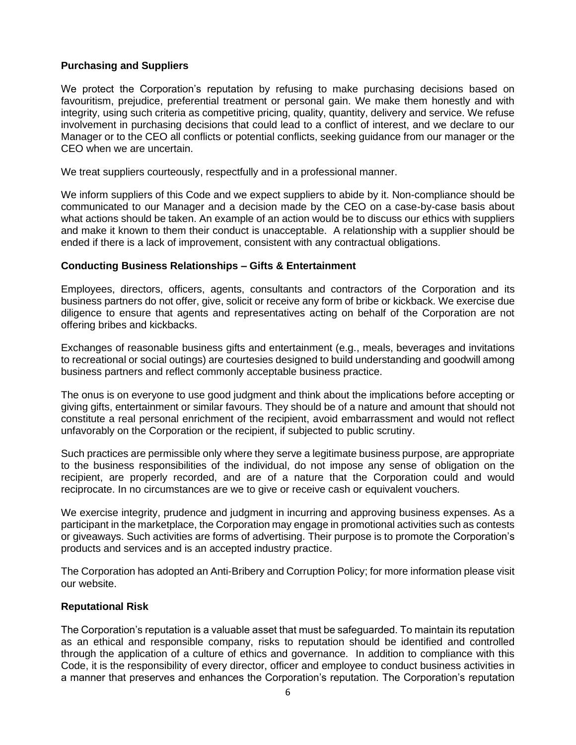# **Purchasing and Suppliers**

We protect the Corporation's reputation by refusing to make purchasing decisions based on favouritism, prejudice, preferential treatment or personal gain. We make them honestly and with integrity, using such criteria as competitive pricing, quality, quantity, delivery and service. We refuse involvement in purchasing decisions that could lead to a conflict of interest, and we declare to our Manager or to the CEO all conflicts or potential conflicts, seeking guidance from our manager or the CEO when we are uncertain.

We treat suppliers courteously, respectfully and in a professional manner.

We inform suppliers of this Code and we expect suppliers to abide by it. Non-compliance should be communicated to our Manager and a decision made by the CEO on a case-by-case basis about what actions should be taken. An example of an action would be to discuss our ethics with suppliers and make it known to them their conduct is unacceptable. A relationship with a supplier should be ended if there is a lack of improvement, consistent with any contractual obligations.

#### **Conducting Business Relationships – Gifts & Entertainment**

Employees, directors, officers, agents, consultants and contractors of the Corporation and its business partners do not offer, give, solicit or receive any form of bribe or kickback. We exercise due diligence to ensure that agents and representatives acting on behalf of the Corporation are not offering bribes and kickbacks.

Exchanges of reasonable business gifts and entertainment (e.g., meals, beverages and invitations to recreational or social outings) are courtesies designed to build understanding and goodwill among business partners and reflect commonly acceptable business practice.

The onus is on everyone to use good judgment and think about the implications before accepting or giving gifts, entertainment or similar favours. They should be of a nature and amount that should not constitute a real personal enrichment of the recipient, avoid embarrassment and would not reflect unfavorably on the Corporation or the recipient, if subjected to public scrutiny.

Such practices are permissible only where they serve a legitimate business purpose, are appropriate to the business responsibilities of the individual, do not impose any sense of obligation on the recipient, are properly recorded, and are of a nature that the Corporation could and would reciprocate. In no circumstances are we to give or receive cash or equivalent vouchers.

We exercise integrity, prudence and judgment in incurring and approving business expenses. As a participant in the marketplace, the Corporation may engage in promotional activities such as contests or giveaways. Such activities are forms of advertising. Their purpose is to promote the Corporation's products and services and is an accepted industry practice.

The Corporation has adopted an Anti-Bribery and Corruption Policy; for more information please visit our website.

#### **Reputational Risk**

The Corporation's reputation is a valuable asset that must be safeguarded. To maintain its reputation as an ethical and responsible company, risks to reputation should be identified and controlled through the application of a culture of ethics and governance. In addition to compliance with this Code, it is the responsibility of every director, officer and employee to conduct business activities in a manner that preserves and enhances the Corporation's reputation. The Corporation's reputation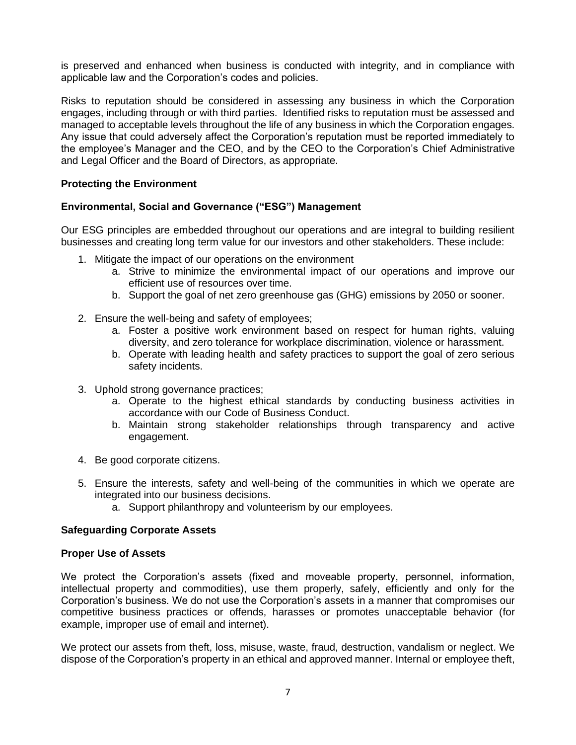is preserved and enhanced when business is conducted with integrity, and in compliance with applicable law and the Corporation's codes and policies.

Risks to reputation should be considered in assessing any business in which the Corporation engages, including through or with third parties. Identified risks to reputation must be assessed and managed to acceptable levels throughout the life of any business in which the Corporation engages. Any issue that could adversely affect the Corporation's reputation must be reported immediately to the employee's Manager and the CEO, and by the CEO to the Corporation's Chief Administrative and Legal Officer and the Board of Directors, as appropriate.

# **Protecting the Environment**

# **Environmental, Social and Governance ("ESG") Management**

Our ESG principles are embedded throughout our operations and are integral to building resilient businesses and creating long term value for our investors and other stakeholders. These include:

- 1. Mitigate the impact of our operations on the environment
	- a. Strive to minimize the environmental impact of our operations and improve our efficient use of resources over time.
	- b. Support the goal of net zero greenhouse gas (GHG) emissions by 2050 or sooner.
- 2. Ensure the well-being and safety of employees;
	- a. Foster a positive work environment based on respect for human rights, valuing diversity, and zero tolerance for workplace discrimination, violence or harassment.
	- b. Operate with leading health and safety practices to support the goal of zero serious safety incidents.
- 3. Uphold strong governance practices;
	- a. Operate to the highest ethical standards by conducting business activities in accordance with our Code of Business Conduct.
	- b. Maintain strong stakeholder relationships through transparency and active engagement.
- 4. Be good corporate citizens.
- 5. Ensure the interests, safety and well-being of the communities in which we operate are integrated into our business decisions.
	- a. Support philanthropy and volunteerism by our employees.

#### **Safeguarding Corporate Assets**

#### **Proper Use of Assets**

We protect the Corporation's assets (fixed and moveable property, personnel, information, intellectual property and commodities), use them properly, safely, efficiently and only for the Corporation's business. We do not use the Corporation's assets in a manner that compromises our competitive business practices or offends, harasses or promotes unacceptable behavior (for example, improper use of email and internet).

We protect our assets from theft, loss, misuse, waste, fraud, destruction, vandalism or neglect. We dispose of the Corporation's property in an ethical and approved manner. Internal or employee theft,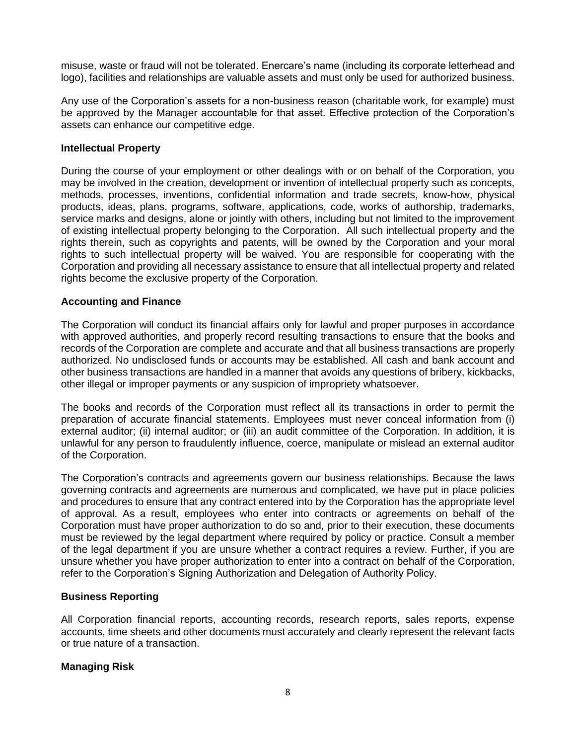misuse, waste or fraud will not be tolerated. Enercare's name (including its corporate letterhead and logo), facilities and relationships are valuable assets and must only be used for authorized business.

Any use of the Corporation's assets for a non-business reason (charitable work, for example) must be approved by the Manager accountable for that asset. Effective protection of the Corporation's assets can enhance our competitive edge.

# **Intellectual Property**

During the course of your employment or other dealings with or on behalf of the Corporation, you may be involved in the creation, development or invention of intellectual property such as concepts, methods, processes, inventions, confidential information and trade secrets, know-how, physical products, ideas, plans, programs, software, applications, code, works of authorship, trademarks, service marks and designs, alone or jointly with others, including but not limited to the improvement of existing intellectual property belonging to the Corporation. All such intellectual property and the rights therein, such as copyrights and patents, will be owned by the Corporation and your moral rights to such intellectual property will be waived. You are responsible for cooperating with the Corporation and providing all necessary assistance to ensure that all intellectual property and related rights become the exclusive property of the Corporation.

#### **Accounting and Finance**

The Corporation will conduct its financial affairs only for lawful and proper purposes in accordance with approved authorities, and properly record resulting transactions to ensure that the books and records of the Corporation are complete and accurate and that all business transactions are properly authorized. No undisclosed funds or accounts may be established. All cash and bank account and other business transactions are handled in a manner that avoids any questions of bribery, kickbacks, other illegal or improper payments or any suspicion of impropriety whatsoever.

The books and records of the Corporation must reflect all its transactions in order to permit the preparation of accurate financial statements. Employees must never conceal information from (i) external auditor; (ii) internal auditor; or (iii) an audit committee of the Corporation. In addition, it is unlawful for any person to fraudulently influence, coerce, manipulate or mislead an external auditor of the Corporation.

The Corporation's contracts and agreements govern our business relationships. Because the laws governing contracts and agreements are numerous and complicated, we have put in place policies and procedures to ensure that any contract entered into by the Corporation has the appropriate level of approval. As a result, employees who enter into contracts or agreements on behalf of the Corporation must have proper authorization to do so and, prior to their execution, these documents must be reviewed by the legal department where required by policy or practice. Consult a member of the legal department if you are unsure whether a contract requires a review. Further, if you are unsure whether you have proper authorization to enter into a contract on behalf of the Corporation, refer to the Corporation's Signing Authorization and Delegation of Authority Policy.

# **Business Reporting**

All Corporation financial reports, accounting records, research reports, sales reports, expense accounts, time sheets and other documents must accurately and clearly represent the relevant facts or true nature of a transaction.

# **Managing Risk**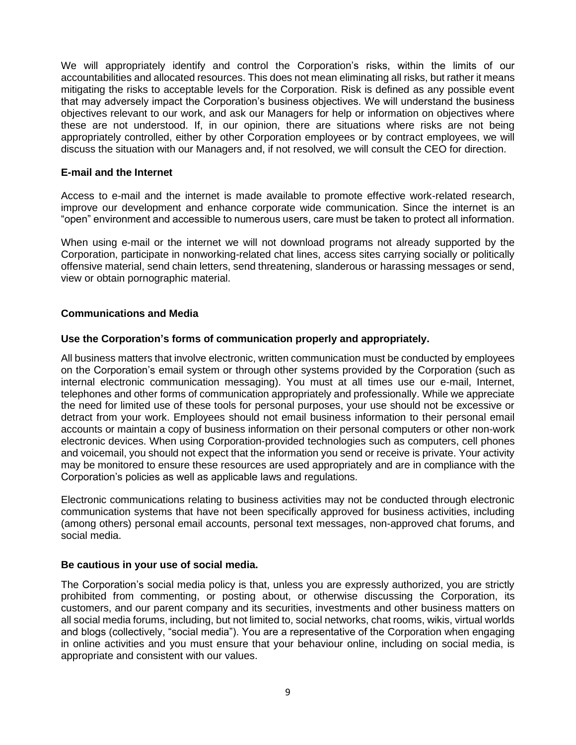We will appropriately identify and control the Corporation's risks, within the limits of our accountabilities and allocated resources. This does not mean eliminating all risks, but rather it means mitigating the risks to acceptable levels for the Corporation. Risk is defined as any possible event that may adversely impact the Corporation's business objectives. We will understand the business objectives relevant to our work, and ask our Managers for help or information on objectives where these are not understood. If, in our opinion, there are situations where risks are not being appropriately controlled, either by other Corporation employees or by contract employees, we will discuss the situation with our Managers and, if not resolved, we will consult the CEO for direction.

#### **E-mail and the Internet**

Access to e-mail and the internet is made available to promote effective work-related research, improve our development and enhance corporate wide communication. Since the internet is an "open" environment and accessible to numerous users, care must be taken to protect all information.

When using e-mail or the internet we will not download programs not already supported by the Corporation, participate in nonworking-related chat lines, access sites carrying socially or politically offensive material, send chain letters, send threatening, slanderous or harassing messages or send, view or obtain pornographic material.

# **Communications and Media**

# **Use the Corporation's forms of communication properly and appropriately.**

All business matters that involve electronic, written communication must be conducted by employees on the Corporation's email system or through other systems provided by the Corporation (such as internal electronic communication messaging). You must at all times use our e-mail, Internet, telephones and other forms of communication appropriately and professionally. While we appreciate the need for limited use of these tools for personal purposes, your use should not be excessive or detract from your work. Employees should not email business information to their personal email accounts or maintain a copy of business information on their personal computers or other non-work electronic devices. When using Corporation-provided technologies such as computers, cell phones and voicemail, you should not expect that the information you send or receive is private. Your activity may be monitored to ensure these resources are used appropriately and are in compliance with the Corporation's policies as well as applicable laws and regulations.

Electronic communications relating to business activities may not be conducted through electronic communication systems that have not been specifically approved for business activities, including (among others) personal email accounts, personal text messages, non-approved chat forums, and social media.

#### **Be cautious in your use of social media.**

The Corporation's social media policy is that, unless you are expressly authorized, you are strictly prohibited from commenting, or posting about, or otherwise discussing the Corporation, its customers, and our parent company and its securities, investments and other business matters on all social media forums, including, but not limited to, social networks, chat rooms, wikis, virtual worlds and blogs (collectively, "social media"). You are a representative of the Corporation when engaging in online activities and you must ensure that your behaviour online, including on social media, is appropriate and consistent with our values.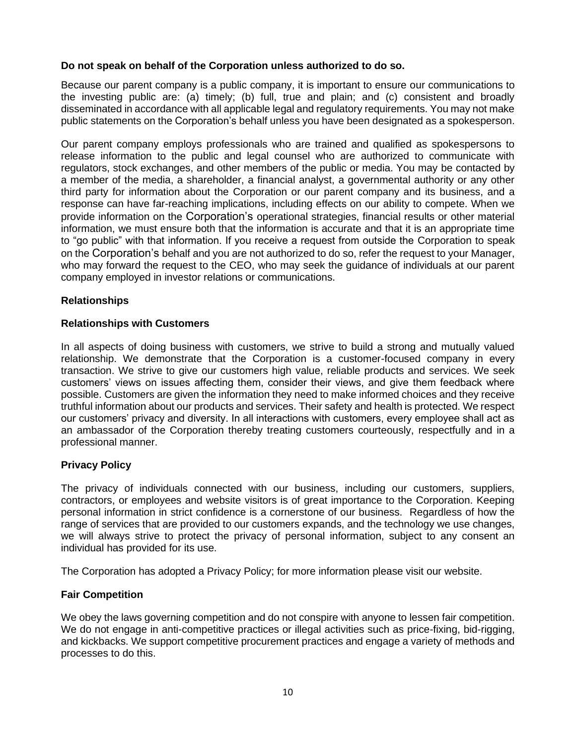# **Do not speak on behalf of the Corporation unless authorized to do so.**

Because our parent company is a public company, it is important to ensure our communications to the investing public are: (a) timely; (b) full, true and plain; and (c) consistent and broadly disseminated in accordance with all applicable legal and regulatory requirements. You may not make public statements on the Corporation's behalf unless you have been designated as a spokesperson.

Our parent company employs professionals who are trained and qualified as spokespersons to release information to the public and legal counsel who are authorized to communicate with regulators, stock exchanges, and other members of the public or media. You may be contacted by a member of the media, a shareholder, a financial analyst, a governmental authority or any other third party for information about the Corporation or our parent company and its business, and a response can have far-reaching implications, including effects on our ability to compete. When we provide information on the Corporation's operational strategies, financial results or other material information, we must ensure both that the information is accurate and that it is an appropriate time to "go public" with that information. If you receive a request from outside the Corporation to speak on the Corporation's behalf and you are not authorized to do so, refer the request to your Manager, who may forward the request to the CEO, who may seek the guidance of individuals at our parent company employed in investor relations or communications.

# **Relationships**

# **Relationships with Customers**

In all aspects of doing business with customers, we strive to build a strong and mutually valued relationship. We demonstrate that the Corporation is a customer-focused company in every transaction. We strive to give our customers high value, reliable products and services. We seek customers' views on issues affecting them, consider their views, and give them feedback where possible. Customers are given the information they need to make informed choices and they receive truthful information about our products and services. Their safety and health is protected. We respect our customers' privacy and diversity. In all interactions with customers, every employee shall act as an ambassador of the Corporation thereby treating customers courteously, respectfully and in a professional manner.

# **Privacy Policy**

The privacy of individuals connected with our business, including our customers, suppliers, contractors, or employees and website visitors is of great importance to the Corporation. Keeping personal information in strict confidence is a cornerstone of our business. Regardless of how the range of services that are provided to our customers expands, and the technology we use changes, we will always strive to protect the privacy of personal information, subject to any consent an individual has provided for its use.

The Corporation has adopted a Privacy Policy; for more information please visit our website.

#### **Fair Competition**

We obey the laws governing competition and do not conspire with anyone to lessen fair competition. We do not engage in anti-competitive practices or illegal activities such as price-fixing, bid-rigging, and kickbacks. We support competitive procurement practices and engage a variety of methods and processes to do this.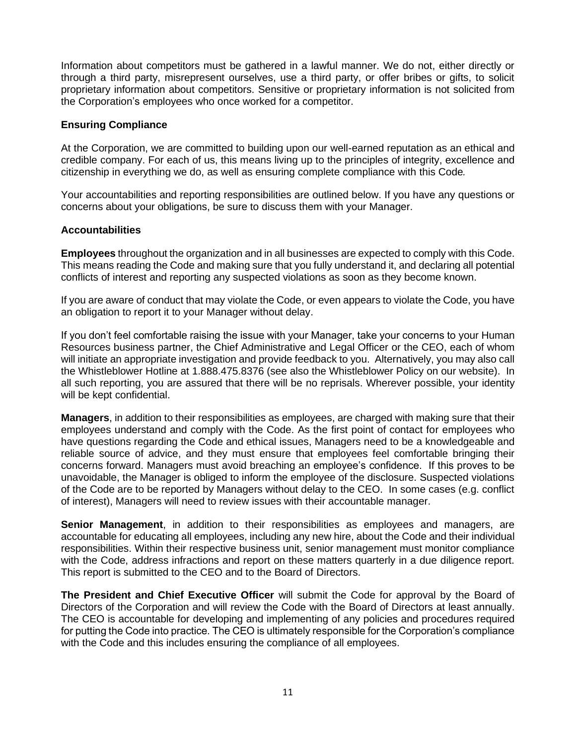Information about competitors must be gathered in a lawful manner. We do not, either directly or through a third party, misrepresent ourselves, use a third party, or offer bribes or gifts, to solicit proprietary information about competitors. Sensitive or proprietary information is not solicited from the Corporation's employees who once worked for a competitor.

# **Ensuring Compliance**

At the Corporation, we are committed to building upon our well-earned reputation as an ethical and credible company. For each of us, this means living up to the principles of integrity, excellence and citizenship in everything we do, as well as ensuring complete compliance with this Code*.*

Your accountabilities and reporting responsibilities are outlined below. If you have any questions or concerns about your obligations, be sure to discuss them with your Manager.

# **Accountabilities**

**Employees** throughout the organization and in all businesses are expected to comply with this Code. This means reading the Code and making sure that you fully understand it, and declaring all potential conflicts of interest and reporting any suspected violations as soon as they become known.

If you are aware of conduct that may violate the Code, or even appears to violate the Code, you have an obligation to report it to your Manager without delay.

If you don't feel comfortable raising the issue with your Manager, take your concerns to your Human Resources business partner, the Chief Administrative and Legal Officer or the CEO, each of whom will initiate an appropriate investigation and provide feedback to you. Alternatively, you may also call the Whistleblower Hotline at 1.888.475.8376 (see also the Whistleblower Policy on our website). In all such reporting, you are assured that there will be no reprisals. Wherever possible, your identity will be kept confidential.

**Managers**, in addition to their responsibilities as employees, are charged with making sure that their employees understand and comply with the Code. As the first point of contact for employees who have questions regarding the Code and ethical issues, Managers need to be a knowledgeable and reliable source of advice, and they must ensure that employees feel comfortable bringing their concerns forward. Managers must avoid breaching an employee's confidence. If this proves to be unavoidable, the Manager is obliged to inform the employee of the disclosure. Suspected violations of the Code are to be reported by Managers without delay to the CEO. In some cases (e.g. conflict of interest), Managers will need to review issues with their accountable manager.

**Senior Management**, in addition to their responsibilities as employees and managers, are accountable for educating all employees, including any new hire, about the Code and their individual responsibilities. Within their respective business unit, senior management must monitor compliance with the Code, address infractions and report on these matters quarterly in a due diligence report. This report is submitted to the CEO and to the Board of Directors.

**The President and Chief Executive Officer** will submit the Code for approval by the Board of Directors of the Corporation and will review the Code with the Board of Directors at least annually. The CEO is accountable for developing and implementing of any policies and procedures required for putting the Code into practice. The CEO is ultimately responsible for the Corporation's compliance with the Code and this includes ensuring the compliance of all employees.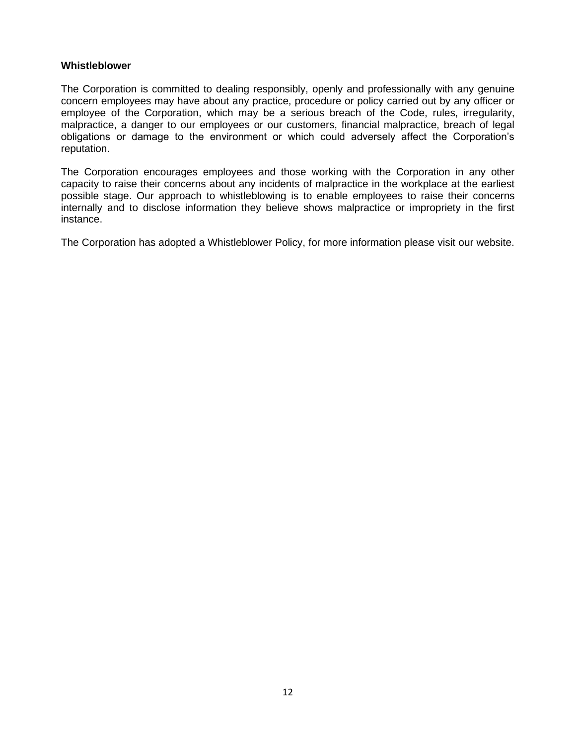#### **Whistleblower**

The Corporation is committed to dealing responsibly, openly and professionally with any genuine concern employees may have about any practice, procedure or policy carried out by any officer or employee of the Corporation, which may be a serious breach of the Code, rules, irregularity, malpractice, a danger to our employees or our customers, financial malpractice, breach of legal obligations or damage to the environment or which could adversely affect the Corporation's reputation.

The Corporation encourages employees and those working with the Corporation in any other capacity to raise their concerns about any incidents of malpractice in the workplace at the earliest possible stage. Our approach to whistleblowing is to enable employees to raise their concerns internally and to disclose information they believe shows malpractice or impropriety in the first instance.

The Corporation has adopted a Whistleblower Policy, for more information please visit our website.